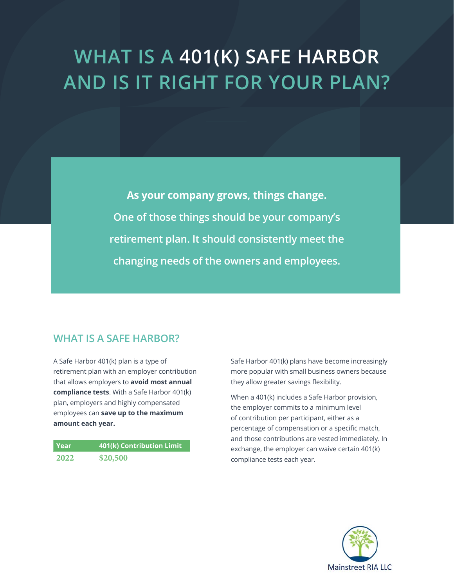# **WHAT IS A 401(K) SAFE HARBOR AND IS IT RIGHT FOR YOUR PLAN?**

**As your company grows, things change. One of those things should be your company's retirement plan. It should consistently meet the changing needs of the owners and employees.** 

## **WHAT IS A SAFE HARBOR?**

A Safe Harbor 401(k) plan is a type of retirement plan with an employer contribution that allows employers to **avoid most annual compliance tests**. With a Safe Harbor 401(k) plan, employers and highly compensated employees can **save up to the maximum amount each year.**

| l Year | 401(k) Contribution Limit |
|--------|---------------------------|
| 2022   | \$20,500                  |

Safe Harbor 401(k) plans have become increasingly more popular with small business owners because they allow greater savings flexibility.

When a 401(k) includes a Safe Harbor provision, the employer commits to a minimum level of contribution per participant, either as a percentage of compensation or a specific match, and those contributions are vested immediately. In exchange, the employer can waive certain 401(k) compliance tests each year.